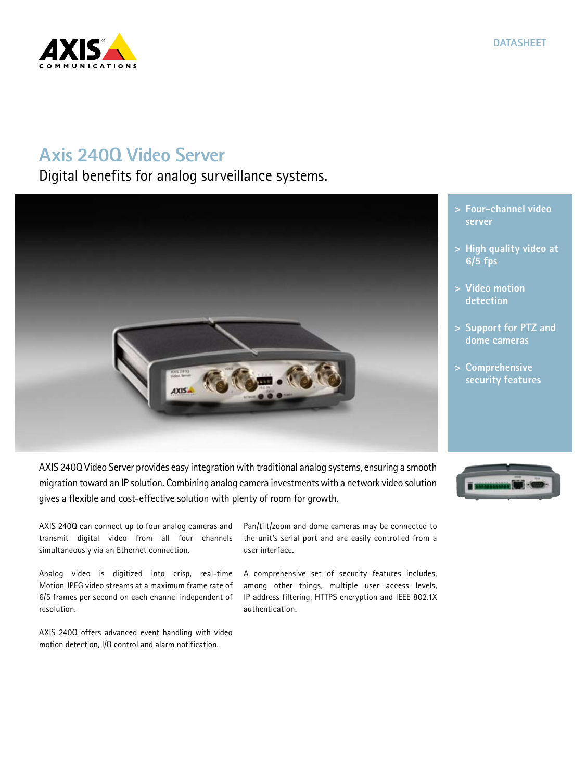# CATIONS

## **Axis 240Q Video Server**

Digital benefits for analog surveillance systems.



- **> Four-channel video server**
- **> High quality video at 6/5 fps**
- **> Video motion detection**
- **> Support for PTZ and dome cameras**
- **> Comprehensive security features**

migration toward an IP solution. Combining analog camera investments with a network video solution gives a flexible and cost-effective solution with plenty of room for growth.

AXIS 240Q can connect up to four analog cameras and transmit digital video from all four channels simultaneously via an Ethernet connection.

Analog video is digitized into crisp, real-time Motion JPEG video streams at a maximum frame rate of 6/5 frames per second on each channel independent of resolution.

AXIS 240Q offers advanced event handling with video motion detection, I/O control and alarm notification.

Pan/tilt/zoom and dome cameras may be connected to the unit's serial port and are easily controlled from a user interface.

A comprehensive set of security features includes, among other things, multiple user access levels, IP address filtering, HTTPS encryption and IEEE 802.1X authentication.